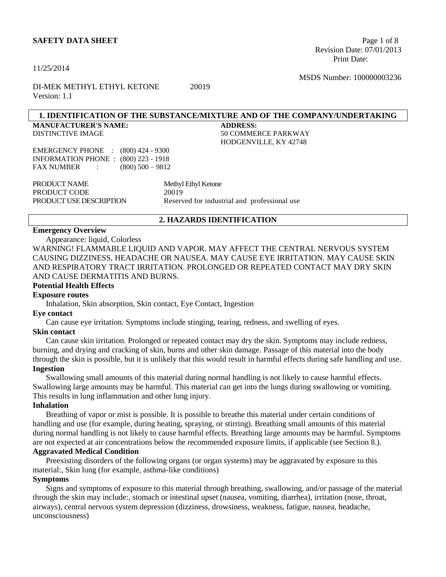#### **SAFETY DATA SHEET** Page 1 of 8

11/25/2014

DI-MEK METHYL ETHYL KETONE 20019 Version: 1.1

#### **1. IDENTIFICATION OF THE SUBSTANCE/MIXTURE AND OF THE COMPANY/UNDERTAKING**

50 COMMERCE PARKWAY HODGENVILLE, KY 42748

**MANUFACTURER'S NAME:**<br>DISTINCTIVE IMAGE 50 COMMEI

EMERGENCY PHONE : (800) 424 - 9300 INFORMATION PHONE : (800) 223 - 1918 FAX NUMBER : (800) 500 – 9812

PRODUCT NAME Methyl Ethyl Ketone PRODUCT CODE 20019 PRODUCT USE DESCRIPTION Reserved for industrial and professional use

#### **2. HAZARDS IDENTIFICATION**

#### **Emergency Overview**

Appearance: liquid, Colorless

WARNING! FLAMMABLE LIQUID AND VAPOR. MAY AFFECT THE CENTRAL NERVOUS SYSTEM CAUSING DIZZINESS, HEADACHE OR NAUSEA. MAY CAUSE EYE IRRITATION. MAY CAUSE SKIN AND RESPIRATORY TRACT IRRITATION. PROLONGED OR REPEATED CONTACT MAY DRY SKIN AND CAUSE DERMATITIS AND BURNS.

#### **Potential Health Effects**

#### **Exposure routes**

Inhalation, Skin absorption, Skin contact, Eye Contact, Ingestion

#### **Eye contact**

Can cause eye irritation. Symptoms include stinging, tearing, redness, and swelling of eyes.

#### **Skin contact**

Can cause skin irritation. Prolonged or repeated contact may dry the skin. Symptoms may include redness, burning, and drying and cracking of skin, burns and other skin damage. Passage of this material into the body through the skin is possible, but it is unlikely that this would result in harmful effects during safe handling and use. **Ingestion**

Swallowing small amounts of this material during normal handling is not likely to cause harmful effects. Swallowing large amounts may be harmful. This material can get into the lungs during swallowing or vomiting. This results in lung inflammation and other lung injury.

#### **Inhalation**

Breathing of vapor or mist is possible. It is possible to breathe this material under certain conditions of handling and use (for example, during heating, spraying, or stirring). Breathing small amounts of this material during normal handling is not likely to cause harmful effects. Breathing large amounts may be harmful. Symptoms are not expected at air concentrations below the recommended exposure limits, if applicable (see Section 8.).

#### **Aggravated Medical Condition**

Preexisting disorders of the following organs (or organ systems) may be aggravated by exposure to this material:, Skin lung (for example, asthma-like conditions)

#### **Symptoms**

Signs and symptoms of exposure to this material through breathing, swallowing, and/or passage of the material through the skin may include:, stomach or intestinal upset (nausea, vomiting, diarrhea), irritation (nose, throat, airways), central nervous system depression (dizziness, drowsiness, weakness, fatigue, nausea, headache, unconsciousness)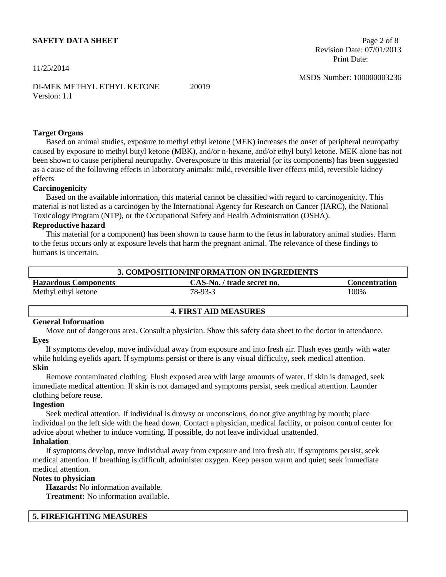11/25/2014

DI-MEK METHYL ETHYL KETONE 20019 Version: 1.1

#### **Target Organs**

Based on animal studies, exposure to methyl ethyl ketone (MEK) increases the onset of peripheral neuropathy caused by exposure to methyl butyl ketone (MBK), and/or n-hexane, and/or ethyl butyl ketone. MEK alone has not been shown to cause peripheral neuropathy. Overexposure to this material (or its components) has been suggested as a cause of the following effects in laboratory animals: mild, reversible liver effects mild, reversible kidney effects

#### **Carcinogenicity**

Based on the available information, this material cannot be classified with regard to carcinogenicity. This material is not listed as a carcinogen by the International Agency for Research on Cancer (IARC), the National Toxicology Program (NTP), or the Occupational Safety and Health Administration (OSHA).

#### **Reproductive hazard**

This material (or a component) has been shown to cause harm to the fetus in laboratory animal studies. Harm to the fetus occurs only at exposure levels that harm the pregnant animal. The relevance of these findings to humans is uncertain.

| 3. COMPOSITION/INFORMATION ON INGREDIENTS |                            |               |  |
|-------------------------------------------|----------------------------|---------------|--|
| <b>Hazardous Components</b>               | CAS-No. / trade secret no. | Concentration |  |
| Methyl ethyl ketone                       | 78-93-3                    | 100%          |  |

#### **4. FIRST AID MEASURES**

#### **General Information**

Move out of dangerous area. Consult a physician. Show this safety data sheet to the doctor in attendance. **Eyes**

If symptoms develop, move individual away from exposure and into fresh air. Flush eyes gently with water while holding eyelids apart. If symptoms persist or there is any visual difficulty, seek medical attention. **Skin**

Remove contaminated clothing. Flush exposed area with large amounts of water. If skin is damaged, seek immediate medical attention. If skin is not damaged and symptoms persist, seek medical attention. Launder clothing before reuse.

#### **Ingestion**

Seek medical attention. If individual is drowsy or unconscious, do not give anything by mouth; place individual on the left side with the head down. Contact a physician, medical facility, or poison control center for advice about whether to induce vomiting. If possible, do not leave individual unattended.

#### **Inhalation**

If symptoms develop, move individual away from exposure and into fresh air. If symptoms persist, seek medical attention. If breathing is difficult, administer oxygen. Keep person warm and quiet; seek immediate medical attention.

#### **Notes to physician**

**Hazards:** No information available.

**Treatment:** No information available.

#### **5. FIREFIGHTING MEASURES**

 Revision Date: 07/01/2013 Print Date: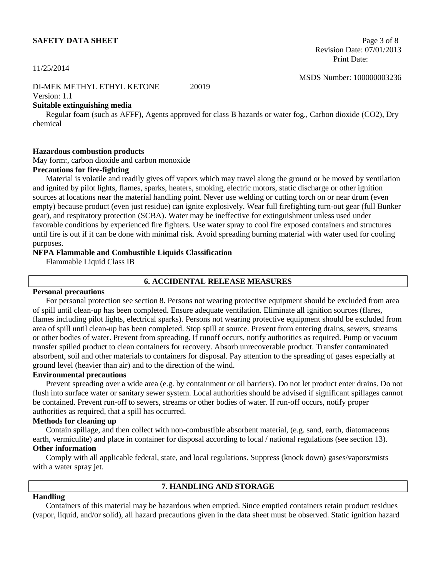#### **SAFETY DATA SHEET** Page 3 of 8

#### 11/25/2014

#### DI-MEK METHYL ETHYL KETONE 20019 Version: 1.1

#### **Suitable extinguishing media**

Regular foam (such as AFFF), Agents approved for class B hazards or water fog., Carbon dioxide (CO2), Dry chemical

#### **Hazardous combustion products**

May form:, carbon dioxide and carbon monoxide

#### **Precautions for fire-fighting**

Material is volatile and readily gives off vapors which may travel along the ground or be moved by ventilation and ignited by pilot lights, flames, sparks, heaters, smoking, electric motors, static discharge or other ignition sources at locations near the material handling point. Never use welding or cutting torch on or near drum (even empty) because product (even just residue) can ignite explosively. Wear full firefighting turn-out gear (full Bunker gear), and respiratory protection (SCBA). Water may be ineffective for extinguishment unless used under favorable conditions by experienced fire fighters. Use water spray to cool fire exposed containers and structures until fire is out if it can be done with minimal risk. Avoid spreading burning material with water used for cooling purposes.

#### **NFPA Flammable and Combustible Liquids Classification**

Flammable Liquid Class IB

#### **6. ACCIDENTAL RELEASE MEASURES**

#### **Personal precautions**

For personal protection see section 8. Persons not wearing protective equipment should be excluded from area of spill until clean-up has been completed. Ensure adequate ventilation. Eliminate all ignition sources (flares, flames including pilot lights, electrical sparks). Persons not wearing protective equipment should be excluded from area of spill until clean-up has been completed. Stop spill at source. Prevent from entering drains, sewers, streams or other bodies of water. Prevent from spreading. If runoff occurs, notify authorities as required. Pump or vacuum transfer spilled product to clean containers for recovery. Absorb unrecoverable product. Transfer contaminated absorbent, soil and other materials to containers for disposal. Pay attention to the spreading of gases especially at ground level (heavier than air) and to the direction of the wind.

#### **Environmental precautions**

Prevent spreading over a wide area (e.g. by containment or oil barriers). Do not let product enter drains. Do not flush into surface water or sanitary sewer system. Local authorities should be advised if significant spillages cannot be contained. Prevent run-off to sewers, streams or other bodies of water. If run-off occurs, notify proper authorities as required, that a spill has occurred.

### **Methods for cleaning up**

Contain spillage, and then collect with non-combustible absorbent material, (e.g. sand, earth, diatomaceous earth, vermiculite) and place in container for disposal according to local / national regulations (see section 13). **Other information**

#### Comply with all applicable federal, state, and local regulations. Suppress (knock down) gases/vapors/mists with a water spray jet.

#### **7. HANDLING AND STORAGE**

#### **Handling**

Containers of this material may be hazardous when emptied. Since emptied containers retain product residues (vapor, liquid, and/or solid), all hazard precautions given in the data sheet must be observed. Static ignition hazard

 Revision Date: 07/01/2013 Print Date: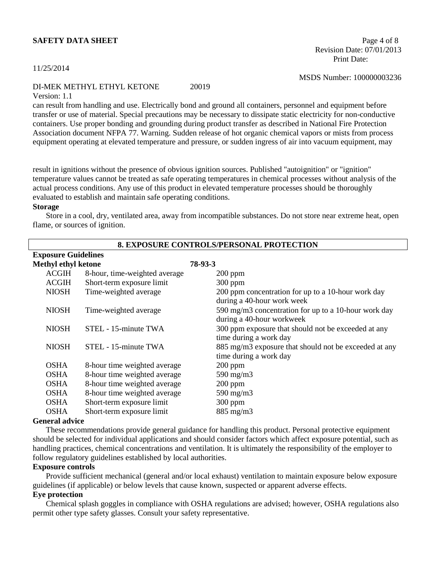#### **SAFETY DATA SHEET** Page 4 of 8

#### 11/25/2014

#### DI-MEK METHYL ETHYL KETONE 20019

Version: 1.1

can result from handling and use. Electrically bond and ground all containers, personnel and equipment before transfer or use of material. Special precautions may be necessary to dissipate static electricity for non-conductive containers. Use proper bonding and grounding during product transfer as described in National Fire Protection Association document NFPA 77. Warning. Sudden release of hot organic chemical vapors or mists from process equipment operating at elevated temperature and pressure, or sudden ingress of air into vacuum equipment, may

result in ignitions without the presence of obvious ignition sources. Published "autoignition" or "ignition" temperature values cannot be treated as safe operating temperatures in chemical processes without analysis of the actual process conditions. Any use of this product in elevated temperature processes should be thoroughly evaluated to establish and maintain safe operating conditions.

#### **Storage**

Store in a cool, dry, ventilated area, away from incompatible substances. Do not store near extreme heat, open flame, or sources of ignition.

**8. EXPOSURE CONTROLS/PERSONAL PROTECTION**

| <b>Exposure Guidelines</b> |                               |                                                                                   |
|----------------------------|-------------------------------|-----------------------------------------------------------------------------------|
| <b>Methyl ethyl ketone</b> |                               | 78-93-3                                                                           |
| <b>ACGIH</b>               | 8-hour, time-weighted average | $200$ ppm                                                                         |
| <b>ACGIH</b>               | Short-term exposure limit     | $300$ ppm                                                                         |
| <b>NIOSH</b>               | Time-weighted average         | 200 ppm concentration for up to a 10-hour work day<br>during a 40-hour work week  |
| <b>NIOSH</b>               | Time-weighted average         | 590 mg/m3 concentration for up to a 10-hour work day<br>during a 40-hour workweek |
| <b>NIOSH</b>               | STEL - 15-minute TWA          | 300 ppm exposure that should not be exceeded at any<br>time during a work day     |
| <b>NIOSH</b>               | STEL - 15-minute TWA          | 885 mg/m3 exposure that should not be exceeded at any<br>time during a work day   |
| <b>OSHA</b>                | 8-hour time weighted average  | $200$ ppm                                                                         |
| <b>OSHA</b>                | 8-hour time weighted average  | $590 \text{ mg/m}$                                                                |
| <b>OSHA</b>                | 8-hour time weighted average  | $200$ ppm                                                                         |
| OSHA                       | 8-hour time weighted average  | $590 \text{ mg/m}$                                                                |
| <b>OSHA</b>                | Short-term exposure limit     | $300$ ppm                                                                         |
| <b>OSHA</b>                | Short-term exposure limit     | $885 \text{ mg/m}$                                                                |

#### **General advice**

These recommendations provide general guidance for handling this product. Personal protective equipment should be selected for individual applications and should consider factors which affect exposure potential, such as handling practices, chemical concentrations and ventilation. It is ultimately the responsibility of the employer to follow regulatory guidelines established by local authorities.

#### **Exposure controls**

Provide sufficient mechanical (general and/or local exhaust) ventilation to maintain exposure below exposure guidelines (if applicable) or below levels that cause known, suspected or apparent adverse effects.

#### **Eye protection**

Chemical splash goggles in compliance with OSHA regulations are advised; however, OSHA regulations also permit other type safety glasses. Consult your safety representative.

## Revision Date: 07/01/2013 Print Date: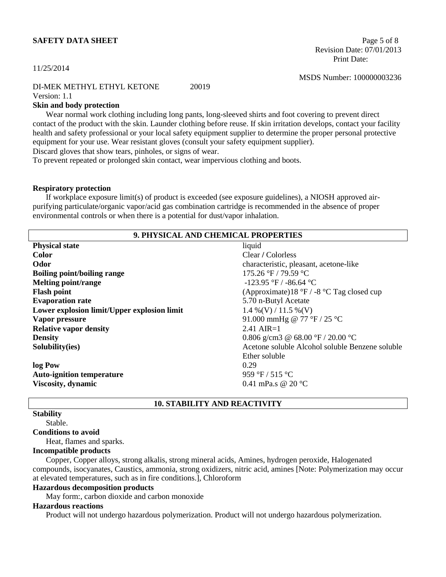#### **SAFETY DATA SHEET** Page 5 of 8

#### 11/25/2014

#### DI-MEK METHYL ETHYL KETONE 20019 Version: 1.1

#### **Skin and body protection**

Wear normal work clothing including long pants, long-sleeved shirts and foot covering to prevent direct contact of the product with the skin. Launder clothing before reuse. If skin irritation develops, contact your facility health and safety professional or your local safety equipment supplier to determine the proper personal protective equipment for your use. Wear resistant gloves (consult your safety equipment supplier). Discard gloves that show tears, pinholes, or signs of wear.

To prevent repeated or prolonged skin contact, wear impervious clothing and boots.

#### **Respiratory protection**

If workplace exposure limit(s) of product is exceeded (see exposure guidelines), a NIOSH approved airpurifying particulate/organic vapor/acid gas combination cartridge is recommended in the absence of proper environmental controls or when there is a potential for dust/vapor inhalation.

| 9. PHYSICAL AND CHEMICAL PROPERTIES         |                                                              |  |
|---------------------------------------------|--------------------------------------------------------------|--|
| <b>Physical state</b>                       | liquid                                                       |  |
| <b>Color</b>                                | Clear / Colorless                                            |  |
| Odor                                        | characteristic, pleasant, acetone-like                       |  |
| Boiling point/boiling range                 | 175.26 °F / 79.59 °C                                         |  |
| <b>Melting point/range</b>                  | -123.95 °F / -86.64 °C                                       |  |
| <b>Flash point</b>                          | (Approximate) $18 \text{°F}$ / -8 $\text{°C}$ Tag closed cup |  |
| <b>Evaporation rate</b>                     | 5.70 n-Butyl Acetate                                         |  |
| Lower explosion limit/Upper explosion limit | $1.4\%$ (V) / 11.5 %(V)                                      |  |
| Vapor pressure                              | 91.000 mmHg @ 77 °F / 25 °C                                  |  |
| <b>Relative vapor density</b>               | $2.41$ AIR=1                                                 |  |
| <b>Density</b>                              | 0.806 g/cm3 @ 68.00 $\degree$ F / 20.00 $\degree$ C          |  |
| Solubility(ies)                             | Acetone soluble Alcohol soluble Benzene soluble              |  |
|                                             | Ether soluble                                                |  |
| log Pow                                     | 0.29                                                         |  |
| <b>Auto-ignition temperature</b>            | 959 °F / 515 °C                                              |  |
| Viscosity, dynamic                          | 0.41 mPa.s @ 20 $^{\circ}$ C                                 |  |

### **10. STABILITY AND REACTIVITY**

#### **Stability**

Stable.

**Conditions to avoid**

Heat, flames and sparks.

### **Incompatible products**

Copper, Copper alloys, strong alkalis, strong mineral acids, Amines, hydrogen peroxide, Halogenated compounds, isocyanates, Caustics, ammonia, strong oxidizers, nitric acid, amines [Note: Polymerization may occur at elevated temperatures, such as in fire conditions.], Chloroform

#### **Hazardous decomposition products**

May form:, carbon dioxide and carbon monoxide

#### **Hazardous reactions**

Product will not undergo hazardous polymerization. Product will not undergo hazardous polymerization.

 Revision Date: 07/01/2013 Print Date: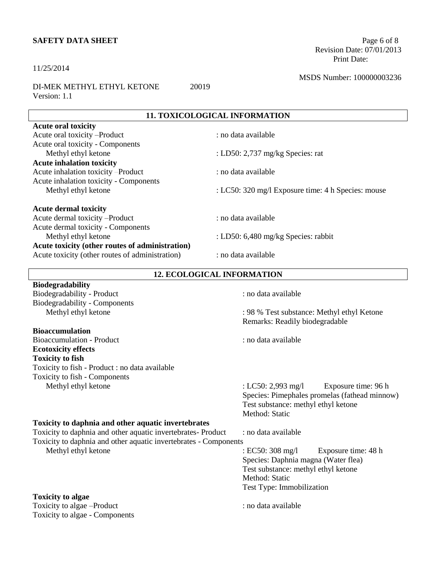11/25/2014

DI-MEK METHYL ETHYL KETONE 20019 Version: 1.1

| <b>11. TOXICOLOGICAL INFORMATION</b>            |                                                    |  |  |
|-------------------------------------------------|----------------------------------------------------|--|--|
| <b>Acute oral toxicity</b>                      |                                                    |  |  |
| Acute oral toxicity -Product                    | : no data available                                |  |  |
| Acute oral toxicity - Components                |                                                    |  |  |
| Methyl ethyl ketone                             | : LD50: 2,737 mg/kg Species: rat                   |  |  |
| <b>Acute inhalation toxicity</b>                |                                                    |  |  |
| Acute inhalation toxicity --Product             | : no data available                                |  |  |
| Acute inhalation toxicity - Components          |                                                    |  |  |
| Methyl ethyl ketone                             | : LC50: 320 mg/l Exposure time: 4 h Species: mouse |  |  |
|                                                 |                                                    |  |  |
| <b>Acute dermal toxicity</b>                    |                                                    |  |  |
| Acute dermal toxicity --Product                 | : no data available                                |  |  |
| Acute dermal toxicity - Components              |                                                    |  |  |
| Methyl ethyl ketone                             | : LD50: $6,480$ mg/kg Species: rabbit              |  |  |
| Acute toxicity (other routes of administration) |                                                    |  |  |
| Acute toxicity (other routes of administration) | : no data available                                |  |  |
|                                                 |                                                    |  |  |

# **12. ECOLOGICAL INFORMATION**

| <b>Biodegradability</b>                                          |                                                                                         |  |
|------------------------------------------------------------------|-----------------------------------------------------------------------------------------|--|
| Biodegradability - Product                                       | : no data available                                                                     |  |
| Biodegradability - Components                                    |                                                                                         |  |
| Methyl ethyl ketone                                              | : 98 % Test substance: Methyl ethyl Ketone<br>Remarks: Readily biodegradable            |  |
| <b>Bioaccumulation</b>                                           |                                                                                         |  |
| Bioaccumulation - Product                                        | : no data available                                                                     |  |
| <b>Ecotoxicity effects</b>                                       |                                                                                         |  |
| <b>Toxicity to fish</b>                                          |                                                                                         |  |
| Toxicity to fish - Product : no data available                   |                                                                                         |  |
| Toxicity to fish - Components                                    |                                                                                         |  |
| Methyl ethyl ketone                                              | : LC50: 2,993 mg/l Exposure time: 96 h<br>Species: Pimephales promelas (fathead minnow) |  |
|                                                                  | Test substance: methyl ethyl ketone                                                     |  |
|                                                                  | Method: Static                                                                          |  |
| Toxicity to daphnia and other aquatic invertebrates              |                                                                                         |  |
| Toxicity to daphnia and other aquatic invertebrates- Product     | : no data available                                                                     |  |
| Toxicity to daphnia and other aquatic invertebrates - Components |                                                                                         |  |
| Methyl ethyl ketone                                              | : EC50: 308 mg/l<br>Exposure time: 48 h                                                 |  |
|                                                                  | Species: Daphnia magna (Water flea)                                                     |  |
|                                                                  | Test substance: methyl ethyl ketone                                                     |  |
|                                                                  | Method: Static                                                                          |  |
|                                                                  | Test Type: Immobilization                                                               |  |
| <b>Toxicity to algae</b>                                         |                                                                                         |  |
| Toxicity to algae - Product<br>Toxicity to algae - Components    | : no data available                                                                     |  |

 Revision Date: 07/01/2013 Print Date:

MSDS Number: 100000003236

**SAFETY DATA SHEET** Page 6 of 8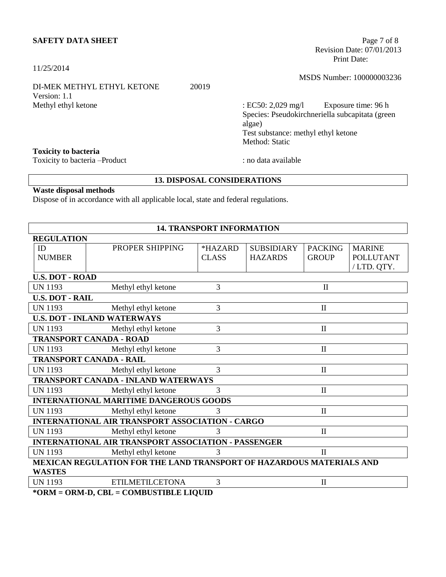### **SAFETY DATA SHEET** Page 7 of 8

11/25/2014

DI-MEK METHYL ETHYL KETONE 20019 Version: 1.1 Methyl ethyl ketone : EC50: 2,029 mg/l Exposure time: 96 h

 Revision Date: 07/01/2013 Print Date:

MSDS Number: 100000003236

Species: Pseudokirchneriella subcapitata (green algae) Test substance: methyl ethyl ketone Method: Static

#### **Toxicity to bacteria**

Toxicity to bacteria –Product : no data available : no data available

#### **13. DISPOSAL CONSIDERATIONS**

**Waste disposal methods**

Dispose of in accordance with all applicable local, state and federal regulations.

### **14. TRANSPORT INFORMATION**

| <b>REGULATION</b>                                                           |                                     |                |                   |                |                  |
|-----------------------------------------------------------------------------|-------------------------------------|----------------|-------------------|----------------|------------------|
| ID                                                                          | PROPER SHIPPING                     | *HAZARD        | <b>SUBSIDIARY</b> | <b>PACKING</b> | <b>MARINE</b>    |
| <b>NUMBER</b>                                                               |                                     | <b>CLASS</b>   | <b>HAZARDS</b>    | <b>GROUP</b>   | <b>POLLUTANT</b> |
|                                                                             |                                     |                |                   |                | / LTD. QTY.      |
| <b>U.S. DOT - ROAD</b>                                                      |                                     |                |                   |                |                  |
| <b>UN 1193</b>                                                              | Methyl ethyl ketone                 | 3              |                   | $\mathbf{I}$   |                  |
| <b>U.S. DOT - RAIL</b>                                                      |                                     |                |                   |                |                  |
| <b>UN 1193</b>                                                              | Methyl ethyl ketone                 | 3              |                   | $\mathbf{I}$   |                  |
| <b>U.S. DOT - INLAND WATERWAYS</b>                                          |                                     |                |                   |                |                  |
| <b>UN 1193</b>                                                              | Methyl ethyl ketone                 | 3              |                   | $\mathbf{I}$   |                  |
|                                                                             | <b>TRANSPORT CANADA - ROAD</b>      |                |                   |                |                  |
| <b>UN 1193</b>                                                              | Methyl ethyl ketone                 | $\overline{3}$ |                   | $\mathbf{I}$   |                  |
|                                                                             | <b>TRANSPORT CANADA - RAIL</b>      |                |                   |                |                  |
| <b>UN 1193</b>                                                              | Methyl ethyl ketone                 | $\overline{3}$ |                   | $\mathbf{I}$   |                  |
|                                                                             | TRANSPORT CANADA - INLAND WATERWAYS |                |                   |                |                  |
| <b>UN 1193</b>                                                              | Methyl ethyl ketone                 | 3              |                   | $\mathbf{I}$   |                  |
| <b>INTERNATIONAL MARITIME DANGEROUS GOODS</b>                               |                                     |                |                   |                |                  |
| <b>UN 1193</b>                                                              | Methyl ethyl ketone                 | 3              |                   | $\mathbf{I}$   |                  |
| <b>INTERNATIONAL AIR TRANSPORT ASSOCIATION - CARGO</b>                      |                                     |                |                   |                |                  |
| <b>UN 1193</b>                                                              | Methyl ethyl ketone                 | 3              |                   | $\mathbf{I}$   |                  |
| <b>INTERNATIONAL AIR TRANSPORT ASSOCIATION - PASSENGER</b>                  |                                     |                |                   |                |                  |
| <b>UN 1193</b>                                                              | Methyl ethyl ketone                 | 3              |                   | $\mathbf{I}$   |                  |
| <b>MEXICAN REGULATION FOR THE LAND TRANSPORT OF HAZARDOUS MATERIALS AND</b> |                                     |                |                   |                |                  |
| <b>WASTES</b>                                                               |                                     |                |                   |                |                  |
| <b>UN 1193</b>                                                              | <b>ETILMETILCETONA</b>              | 3              |                   | $\mathbf{I}$   |                  |
| *ORM = ORM-D, CBL = COMBUSTIBLE LIQUID                                      |                                     |                |                   |                |                  |